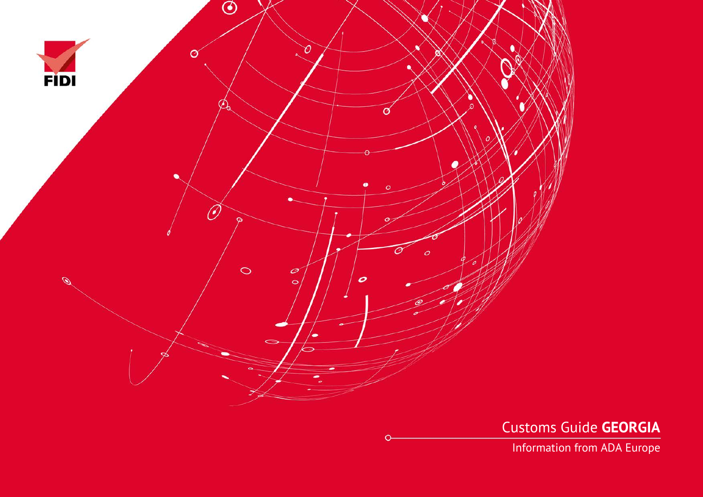

Customs Guide **GEORGIA**

Information from ADA Europe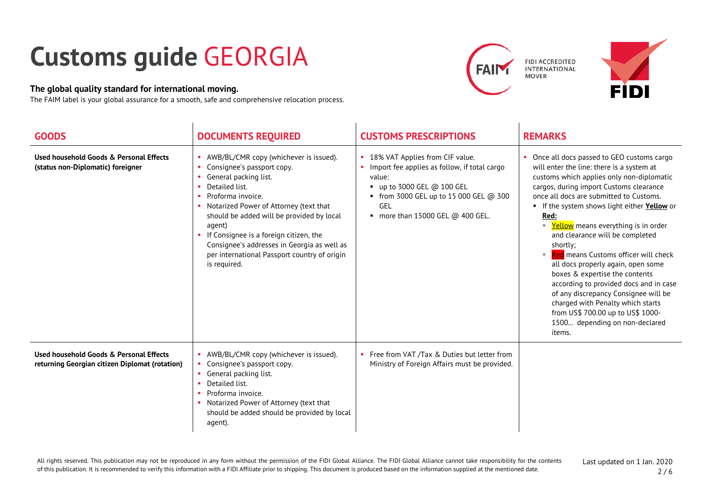## **Customs guide** GEORGIA

## **The global quality standard for international moving.**

The FAIM label is your global assurance for a smooth, safe and comprehensive relocation process.







| <b>GOODS</b>                                                                              | <b>DOCUMENTS REQUIRED</b>                                                                                                                                                                                                                                                                                                                                                                      | <b>CUSTOMS PRESCRIPTIONS</b>                                                                                                                                                                                           | <b>REMARKS</b>                                                                                                                                                                                                                                                                                                                                                                                                                                                                                                                                                                                                                                                                              |
|-------------------------------------------------------------------------------------------|------------------------------------------------------------------------------------------------------------------------------------------------------------------------------------------------------------------------------------------------------------------------------------------------------------------------------------------------------------------------------------------------|------------------------------------------------------------------------------------------------------------------------------------------------------------------------------------------------------------------------|---------------------------------------------------------------------------------------------------------------------------------------------------------------------------------------------------------------------------------------------------------------------------------------------------------------------------------------------------------------------------------------------------------------------------------------------------------------------------------------------------------------------------------------------------------------------------------------------------------------------------------------------------------------------------------------------|
| Used household Goods & Personal Effects<br>(status non-Diplomatic) foreigner              | AWB/BL/CMR copy (whichever is issued).<br>Consignee's passport copy.<br>General packing list.<br>Detailed list.<br>Proforma invoice.<br>Notarized Power of Attorney (text that<br>should be added will be provided by local<br>agent)<br>If Consignee is a foreign citizen, the<br>Consignee's addresses in Georgia as well as<br>per international Passport country of origin<br>is required. | 18% VAT Applies from CIF value.<br>Import fee applies as follow, if total cargo<br>value:<br>up to 3000 GEL @ 100 GEL<br>٠<br>• from 3000 GEL up to 15 000 GEL @ 300<br><b>GEL</b><br>more than 15000 GEL $@$ 400 GEL. | Once all docs passed to GEO customs cargo<br>will enter the line: there is a system at<br>customs which applies only non-diplomatic<br>cargos, during import Customs clearance<br>once all docs are submitted to Customs.<br>If the system shows light either Yellow or<br>Red:<br>■ Yellow means everything is in order<br>and clearance will be completed<br>shortly;<br>means Customs officer will check<br>all docs properly again, open some<br>boxes & expertise the contents<br>according to provided docs and in case<br>of any discrepancy Consignee will be<br>charged with Penalty which starts<br>from US\$ 700.00 up to US\$ 1000-<br>1500 depending on non-declared<br>items. |
| Used household Goods & Personal Effects<br>returning Georgian citizen Diplomat (rotation) | AWB/BL/CMR copy (whichever is issued).<br>Consignee's passport copy.<br>General packing list.<br>Detailed list.<br>Proforma invoice.<br>Notarized Power of Attorney (text that<br>should be added should be provided by local<br>agent).                                                                                                                                                       | Free from VAT /Tax & Duties but letter from<br>Ministry of Foreign Affairs must be provided.                                                                                                                           |                                                                                                                                                                                                                                                                                                                                                                                                                                                                                                                                                                                                                                                                                             |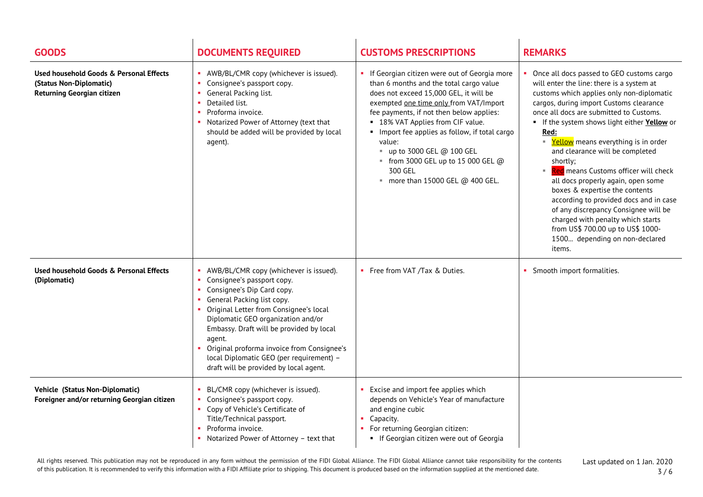| <b>GOODS</b>                                                                                            | <b>DOCUMENTS REQUIRED</b>                                                                                                                                                                                                                                                                                                                                                                                      | <b>CUSTOMS PRESCRIPTIONS</b>                                                                                                                                                                                                                                                                                                                                                                                                                               | <b>REMARKS</b>                                                                                                                                                                                                                                                                                                                                                                                                                                                                                                                                                                                                                                                                                  |
|---------------------------------------------------------------------------------------------------------|----------------------------------------------------------------------------------------------------------------------------------------------------------------------------------------------------------------------------------------------------------------------------------------------------------------------------------------------------------------------------------------------------------------|------------------------------------------------------------------------------------------------------------------------------------------------------------------------------------------------------------------------------------------------------------------------------------------------------------------------------------------------------------------------------------------------------------------------------------------------------------|-------------------------------------------------------------------------------------------------------------------------------------------------------------------------------------------------------------------------------------------------------------------------------------------------------------------------------------------------------------------------------------------------------------------------------------------------------------------------------------------------------------------------------------------------------------------------------------------------------------------------------------------------------------------------------------------------|
| Used household Goods & Personal Effects<br>(Status Non-Diplomatic)<br><b>Returning Georgian citizen</b> | • AWB/BL/CMR copy (whichever is issued).<br>Consignee's passport copy.<br>m.<br>General Packing list.<br>Detailed list.<br>Proforma invoice.<br>Notarized Power of Attorney (text that<br>should be added will be provided by local<br>agent).                                                                                                                                                                 | If Georgian citizen were out of Georgia more<br>than 6 months and the total cargo value<br>does not exceed 15,000 GEL, it will be<br>exempted one time only from VAT/Import<br>fee payments, if not then below applies:<br>• 18% VAT Applies from CIF value.<br>• Import fee applies as follow, if total cargo<br>value:<br>$\blacksquare$ up to 3000 GEL @ 100 GEL<br>" from 3000 GEL up to 15 000 GEL $@$<br>300 GEL<br>more than 15000 GEL $@$ 400 GEL. | Once all docs passed to GEO customs cargo<br>will enter the line: there is a system at<br>customs which applies only non-diplomatic<br>cargos, during import Customs clearance<br>once all docs are submitted to Customs.<br>If the system shows light either Yellow or<br>Red:<br>■ Yellow means everything is in order<br>and clearance will be completed<br>shortly:<br>Red means Customs officer will check<br>all docs properly again, open some<br>boxes & expertise the contents<br>according to provided docs and in case<br>of any discrepancy Consignee will be<br>charged with penalty which starts<br>from US\$ 700.00 up to US\$ 1000-<br>1500 depending on non-declared<br>items. |
| Used household Goods & Personal Effects<br>(Diplomatic)                                                 | AWB/BL/CMR copy (whichever is issued).<br>• Consignee's passport copy.<br>Consignee's Dip Card copy.<br>• General Packing list copy.<br>Original Letter from Consignee's local<br>Diplomatic GEO organization and/or<br>Embassy. Draft will be provided by local<br>agent.<br>Original proforma invoice from Consignee's<br>local Diplomatic GEO (per requirement) -<br>draft will be provided by local agent. | • Free from VAT /Tax & Duties.                                                                                                                                                                                                                                                                                                                                                                                                                             | • Smooth import formalities.                                                                                                                                                                                                                                                                                                                                                                                                                                                                                                                                                                                                                                                                    |
| Vehicle (Status Non-Diplomatic)<br>Foreigner and/or returning Georgian citizen                          | BL/CMR copy (whichever is issued).<br>Consignee's passport copy.<br>• Copy of Vehicle's Certificate of<br>Title/Technical passport.<br>Proforma invoice.<br>Notarized Power of Attorney - text that                                                                                                                                                                                                            | • Excise and import fee applies which<br>depends on Vehicle's Year of manufacture<br>and engine cubic<br>Capacity.<br>• For returning Georgian citizen:<br>• If Georgian citizen were out of Georgia                                                                                                                                                                                                                                                       |                                                                                                                                                                                                                                                                                                                                                                                                                                                                                                                                                                                                                                                                                                 |

All rights reserved. This publication may not be reproduced in any form without the permission of the FIDI Global Alliance. The FIDI Global Alliance cannot take responsibility for the contents of this publication. It is recommended to verify this information with a FIDI Affiliate prior to shipping. This document is produced based on the information supplied at the mentioned date.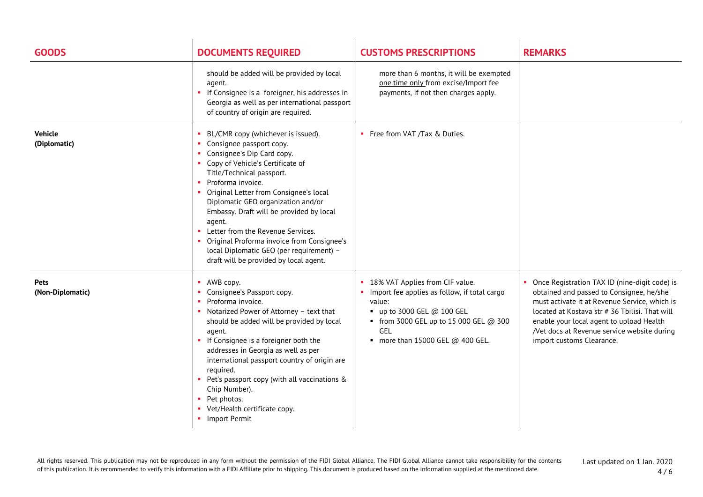| <b>GOODS</b>                    | <b>DOCUMENTS REQUIRED</b>                                                                                                                                                                                                                                                                                                                                                                                                                                                                                       | <b>CUSTOMS PRESCRIPTIONS</b>                                                                                                                                                                                         | <b>REMARKS</b>                                                                                                                                                                                                                                                                                                       |
|---------------------------------|-----------------------------------------------------------------------------------------------------------------------------------------------------------------------------------------------------------------------------------------------------------------------------------------------------------------------------------------------------------------------------------------------------------------------------------------------------------------------------------------------------------------|----------------------------------------------------------------------------------------------------------------------------------------------------------------------------------------------------------------------|----------------------------------------------------------------------------------------------------------------------------------------------------------------------------------------------------------------------------------------------------------------------------------------------------------------------|
|                                 | should be added will be provided by local<br>agent.<br>If Consignee is a foreigner, his addresses in<br>Georgia as well as per international passport<br>of country of origin are required.                                                                                                                                                                                                                                                                                                                     | more than 6 months, it will be exempted<br>one time only from excise/Import fee<br>payments, if not then charges apply.                                                                                              |                                                                                                                                                                                                                                                                                                                      |
| <b>Vehicle</b><br>(Diplomatic)  | BL/CMR copy (whichever is issued).<br>• Consignee passport copy.<br>• Consignee's Dip Card copy.<br>• Copy of Vehicle's Certificate of<br>Title/Technical passport.<br>• Proforma invoice.<br>• Original Letter from Consignee's local<br>Diplomatic GEO organization and/or<br>Embassy. Draft will be provided by local<br>agent.<br>• Letter from the Revenue Services.<br>• Original Proforma invoice from Consignee's<br>local Diplomatic GEO (per requirement) -<br>draft will be provided by local agent. | • Free from VAT /Tax & Duties.                                                                                                                                                                                       |                                                                                                                                                                                                                                                                                                                      |
| <b>Pets</b><br>(Non-Diplomatic) | • AWB copy.<br>• Consignee's Passport copy.<br>Proforma invoice.<br>• Notarized Power of Attorney - text that<br>should be added will be provided by local<br>agent.<br>• If Consignee is a foreigner both the<br>addresses in Georgia as well as per<br>international passport country of origin are<br>required.<br>• Pet's passport copy (with all vaccinations &<br>Chip Number).<br>• Pet photos.<br>• Vet/Health certificate copy.<br>Import Permit                                                       | 18% VAT Applies from CIF value.<br>Import fee applies as follow, if total cargo<br>value:<br>$\bullet$ up to 3000 GEL @ 100 GEL<br>• from 3000 GEL up to 15 000 GEL @ 300<br>GEL<br>more than 15000 GEL $@$ 400 GEL. | Once Registration TAX ID (nine-digit code) is<br>obtained and passed to Consignee, he/she<br>must activate it at Revenue Service, which is<br>located at Kostava str # 36 Tbilisi. That will<br>enable your local agent to upload Health<br>/Vet docs at Revenue service website during<br>import customs Clearance. |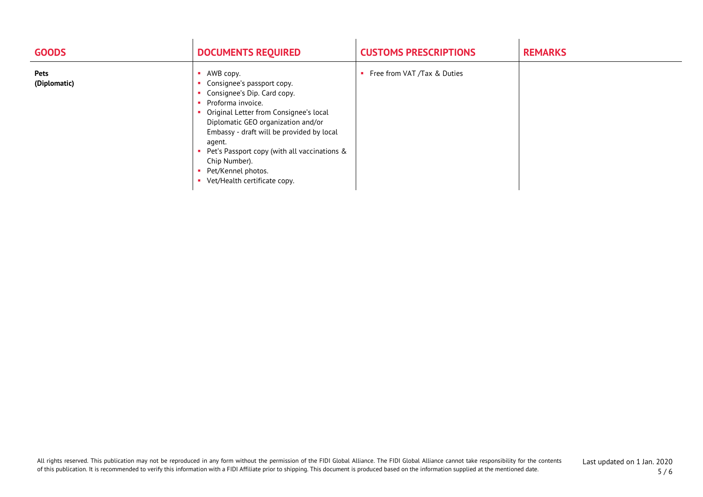| <b>GOODS</b>                | <b>DOCUMENTS REQUIRED</b>                                                                                                                                                                                                                                                                                                                                 | <b>CUSTOMS PRESCRIPTIONS</b>  | <b>REMARKS</b> |
|-----------------------------|-----------------------------------------------------------------------------------------------------------------------------------------------------------------------------------------------------------------------------------------------------------------------------------------------------------------------------------------------------------|-------------------------------|----------------|
| <b>Pets</b><br>(Diplomatic) | AWB copy.<br>Consignee's passport copy.<br>Consignee's Dip. Card copy.<br>Proforma invoice.<br>Original Letter from Consignee's local<br>Diplomatic GEO organization and/or<br>Embassy - draft will be provided by local<br>agent.<br>Pet's Passport copy (with all vaccinations &<br>Chip Number).<br>Pet/Kennel photos.<br>Vet/Health certificate copy. | • Free from VAT /Tax & Duties |                |